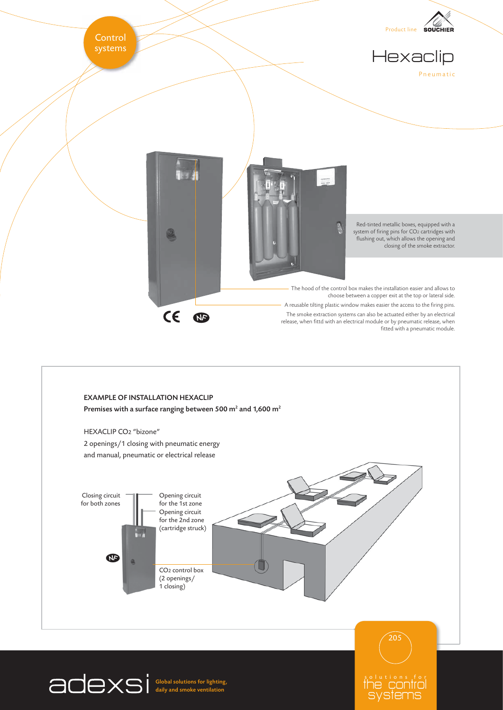

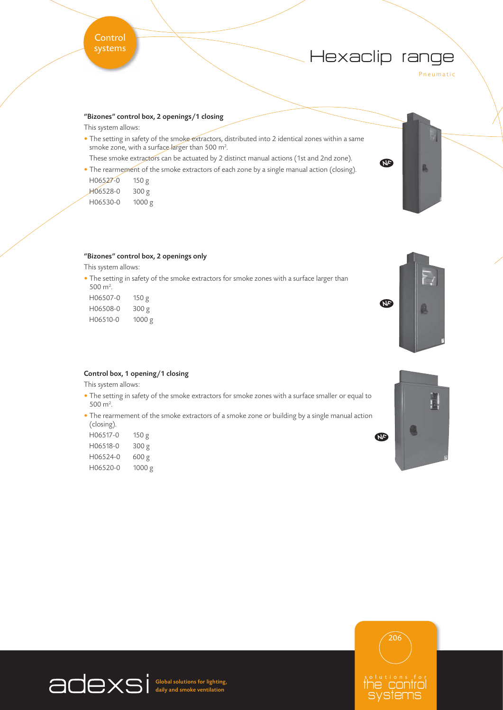# Hexaclip range

 $\Phi$ 

Pneumatic

ß.

## "Bizones" control box, 2 openings/1 closing

This system allows:

- The setting in safety of the smoke extractors, distributed into 2 identical zones within a same smoke zone, with a surface larger than 500 m<sup>2</sup>. .
	- These smoke extractors can be actuated by 2 distinct manual actions (1st and 2nd zone).
- The rearmement of the smoke extractors of each zone by a single manual action (closing).

| H06527-0 | 150 g  |
|----------|--------|
| H06528-0 | 300 g  |
| H06530-0 | 1000 g |



This system allows:

• The setting in safety of the smoke extractors for smoke zones with a surface larger than 500 m<sup>2</sup>. .

| H06507-0 | 150 g  |
|----------|--------|
| H06508-0 | 300 g  |
| H06510-0 | 1000 g |



### Control box, 1 opening/1 closing

This system allows:

- The setting in safety of the smoke extractors for smoke zones with a surface smaller or equal to 500 m<sup>2</sup>. .
- The rearmement of the smoke extractors of a smoke zone or building by a single manual action (closing).

| 150 g  |
|--------|
| 300 g  |
| 600 g  |
| 1000 g |
|        |





Global solutions for lighting, daily and smoke ventilation